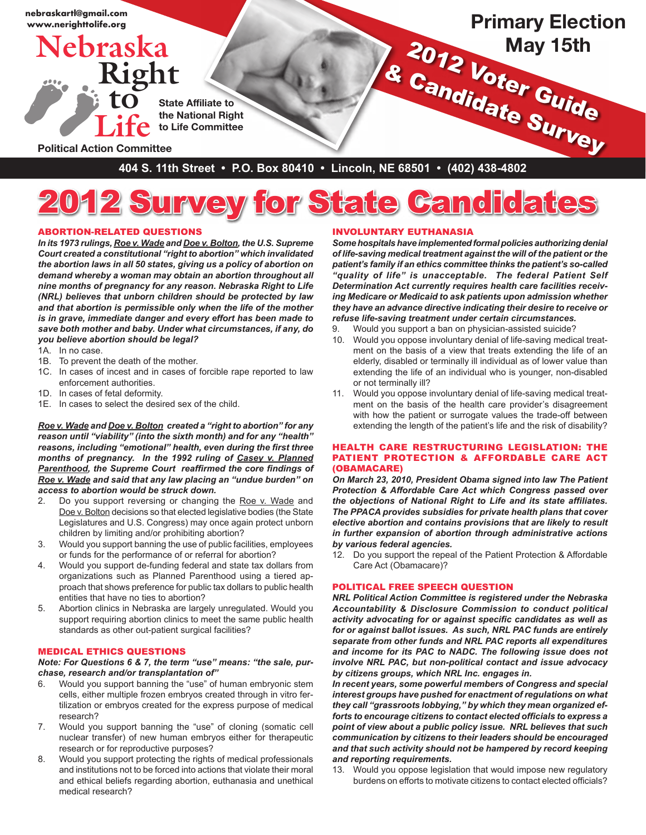

# 2012 Survey for State Candidates

## Abortion-Related Questions

*In its 1973 rulings, Roe v. Wade and Doe v. Bolton, the U.S. Supreme Court created a constitutional "right to abortion" which invalidated the abortion laws in all 50 states, giving us a policy of abortion on demand whereby a woman may obtain an abortion throughout all nine months of pregnancy for any reason. Nebraska Right to Life (NRL) believes that unborn children should be protected by law and that abortion is permissible only when the life of the mother is in grave, immediate danger and every effort has been made to save both mother and baby. Under what circumstances, if any, do you believe abortion should be legal?*

- 1A. In no case.
- 1B. To prevent the death of the mother.
- 1C. In cases of incest and in cases of forcible rape reported to law enforcement authorities.
- 1D. In cases of fetal deformity.
- 1E. In cases to select the desired sex of the child.

*Roe v. Wade and Doe v. Bolton created a "right to abortion" for any reason until "viability" (into the sixth month) and for any "health" reasons, including "emotional" health, even during the first three months of pregnancy. In the 1992 ruling of Casey v. Planned Parenthood, the Supreme Court reaffirmed the core findings of Roe v. Wade and said that any law placing an "undue burden" on access to abortion would be struck down.*

- 2. Do you support reversing or changing the Roe v. Wade and Doe v. Bolton decisions so that elected legislative bodies (the State Legislatures and U.S. Congress) may once again protect unborn children by limiting and/or prohibiting abortion?
- 3. Would you support banning the use of public facilities, employees or funds for the performance of or referral for abortion?
- 4. Would you support de-funding federal and state tax dollars from organizations such as Planned Parenthood using a tiered approach that shows preference for public tax dollars to public health entities that have no ties to abortion?
- 5. Abortion clinics in Nebraska are largely unregulated. Would you support requiring abortion clinics to meet the same public health standards as other out-patient surgical facilities?

#### MEDICAL ETHICS QUESTIONS

#### *Note: For Questions 6 & 7, the term "use" means: "the sale, purchase, research and/or transplantation of"*

- 6. Would you support banning the "use" of human embryonic stem cells, either multiple frozen embryos created through in vitro fertilization or embryos created for the express purpose of medical research?
- 7. Would you support banning the "use" of cloning (somatic cell nuclear transfer) of new human embryos either for therapeutic research or for reproductive purposes?
- 8. Would you support protecting the rights of medical professionals and institutions not to be forced into actions that violate their moral and ethical beliefs regarding abortion, euthanasia and unethical medical research?

#### Involuntary Euthanasia

*Some hospitals have implemented formal policies authorizing denial of life-saving medical treatment against the will of the patient or the patient's family if an ethics committee thinks the patient's so-called "quality of life" is unacceptable. The federal Patient Self Determination Act currently requires health care facilities receiving Medicare or Medicaid to ask patients upon admission whether they have an advance directive indicating their desire to receive or refuse life-saving treatment under certain circumstances.* 

- 9. Would you support a ban on physician-assisted suicide?
- 10. Would you oppose involuntary denial of life-saving medical treatment on the basis of a view that treats extending the life of an elderly, disabled or terminally ill individual as of lower value than extending the life of an individual who is younger, non-disabled or not terminally ill?
- 11. Would you oppose involuntary denial of life-saving medical treatment on the basis of the health care provider's disagreement with how the patient or surrogate values the trade-off between extending the length of the patient's life and the risk of disability?

#### Health Care Restructuring Legislation: The Patient Protection & Affordable Care Act (Obamacare)

*On March 23, 2010, President Obama signed into law The Patient Protection & Affordable Care Act which Congress passed over the objections of National Right to Life and its state affiliates. The PPACA provides subsidies for private health plans that cover elective abortion and contains provisions that are likely to result in further expansion of abortion through administrative actions by various federal agencies.* 

12. Do you support the repeal of the Patient Protection & Affordable Care Act (Obamacare)?

#### POLITICAL FREE SPEECH QUESTION

*NRL Political Action Committee is registered under the Nebraska Accountability & Disclosure Commission to conduct political activity advocating for or against specific candidates as well as for or against ballot issues. As such, NRL PAC funds are entirely separate from other funds and NRL PAC reports all expenditures and income for its PAC to NADC. The following issue does not involve NRL PAC, but non-political contact and issue advocacy by citizens groups, which NRL Inc. engages in.*

*In recent years, some powerful members of Congress and special interest groups have pushed for enactment of regulations on what they call "grassroots lobbying," by which they mean organized efforts to encourage citizens to contact elected officials to express a point of view about a public policy issue. NRL believes that such communication by citizens to their leaders should be encouraged and that such activity should not be hampered by record keeping and reporting requirements.* 

13. Would you oppose legislation that would impose new regulatory burdens on efforts to motivate citizens to contact elected officials?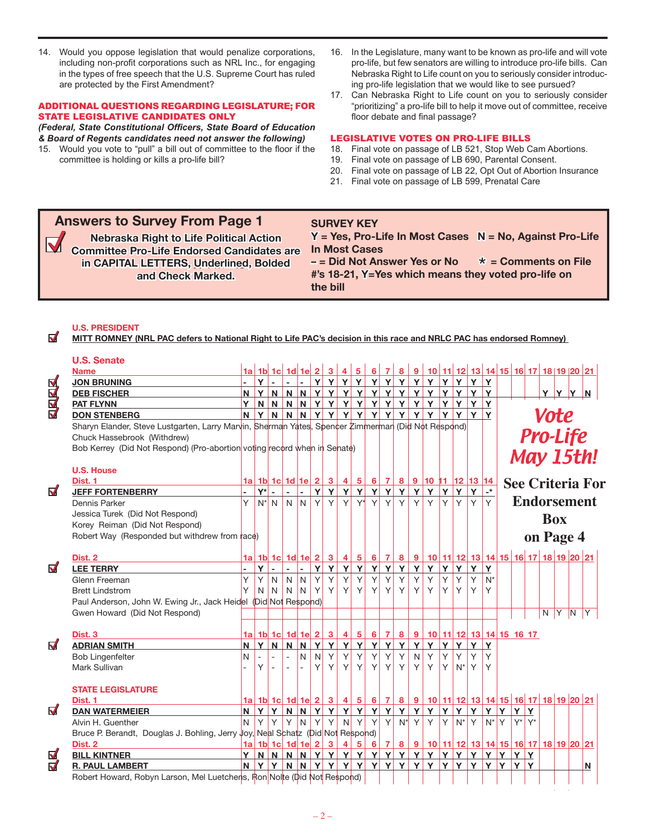14. Would you oppose legislation that would penalize corporations, including non-profit corporations such as NRL Inc., for engaging in the types of free speech that the U.S. Supreme Court has ruled are protected by the First Amendment?

### ADDITIONAL QUESTIONS REGARDING LEGISLATURE; FOR STATE LEGISLATIVE CANDIDATES ONLY

*(Federal, State Constitutional Officers, State Board of Education & Board of Regents candidates need not answer the following)*

- 15. Would you vote to "pull" a bill out of committee to the floor if the committee is holding or kills a pro-life bill?
- 16. In the Legislature, many want to be known as pro-life and will vote pro-life, but few senators are willing to introduce pro-life bills. Can Nebraska Right to Life count on you to seriously consider introducing pro-life legislation that we would like to see pursued?
- 17. Can Nebraska Right to Life count on you to seriously consider "prioritizing" a pro-life bill to help it move out of committee, receive floor debate and final passage?

#### LEGISLATIVE VOTES ON PRO-LIFE BILLS

- 18. Final vote on passage of LB 521, Stop Web Cam Abortions.
- 19. Final vote on passage of LB 690, Parental Consent.
- 20. Final vote on passage of LB 22, Opt Out of Abortion Insurance
- 21. Final vote on passage of LB 599, Prenatal Care

# **Answers to Survey From Page 1**

**Nebraska Right to Life Political Action Committee Pro-Life Endorsed Candidates are in CAPITAL LETTERS, Underlined, Bolded and Check Marked.**

**Y = Yes, Pro-Life In Most Cases N = No, Against Pro-Life In Most Cases – = Did Not Answer Yes or No**  $*$  = Comments on File

**#'s 18-21, Y=Yes which means they voted pro-life on the bill**

## **U.S. President**

**MITT ROMNEY (NRL PAC defers to National Right to Life PAC's decision in this race and NRLC PAC has endorsed Romney)** 

**SURVEY KEY**

# **U.S. Senate**

 $\blacktriangledown$ 

|                         | <b>Name</b>                                                                                        |              |        |                          | $1a$ 1b 1c 1d 1e 2 3                  |                |   |         |   |        |                        |     |     |          | 4 5 6 7 8 9 10 11 12 13 14 15 16 17 18 19 20 21                                                                                      |      |    |                        |                      |            |  |                 |  |             |  |                         |  |  |  |
|-------------------------|----------------------------------------------------------------------------------------------------|--------------|--------|--------------------------|---------------------------------------|----------------|---|---------|---|--------|------------------------|-----|-----|----------|--------------------------------------------------------------------------------------------------------------------------------------|------|----|------------------------|----------------------|------------|--|-----------------|--|-------------|--|-------------------------|--|--|--|
|                         | <b>JON BRUNING</b>                                                                                 |              |        | $Y$ -                    | $\sim$                                | ile il         |   |         |   |        |                        |     |     |          |                                                                                                                                      |      |    |                        |                      |            |  |                 |  |             |  |                         |  |  |  |
| <b>ARKA</b>             | <b>DEB FISCHER</b>                                                                                 | N            |        | YN                       |                                       |                |   |         |   |        |                        |     |     |          | N N Y Y Y Y Y Y Y Y Y Y Y Y Y Y Y Y                                                                                                  |      |    |                        |                      |            |  |                 |  | Y Y Y N     |  |                         |  |  |  |
|                         | <b>PAT FLYNN</b>                                                                                   | Y.           |        |                          |                                       |                |   |         |   |        |                        |     |     |          | <u>N N N N Y Y Y Y Y Y Y Y Y Y Y Y Y Y Y</u>                                                                                         |      |    |                        |                      |            |  |                 |  |             |  |                         |  |  |  |
|                         | <b>DON STENBERG</b>                                                                                |              |        |                          |                                       |                |   |         |   |        |                        |     |     |          | N Y N N N Y Y Y Y Y Y Y Y Y Y Y Y Y                                                                                                  |      |    | YY                     |                      |            |  |                 |  | <b>Vote</b> |  |                         |  |  |  |
|                         | Sharyn Elander, Steve Lustgarten, Larry Marvin, Sherman Yates, Spencer Zimmerman (Did Not Respond) |              |        |                          |                                       |                |   |         |   |        |                        |     |     |          |                                                                                                                                      |      |    |                        |                      |            |  |                 |  |             |  |                         |  |  |  |
|                         | Chuck Hassebrook (Withdrew)                                                                        |              |        |                          |                                       |                |   |         |   |        |                        |     |     |          |                                                                                                                                      |      |    |                        |                      |            |  | <b>Pro-Life</b> |  |             |  |                         |  |  |  |
|                         | Bob Kerrey (Did Not Respond) (Pro-abortion voting record when in Senate)                           |              |        |                          |                                       |                |   |         |   |        |                        |     |     |          |                                                                                                                                      |      |    |                        |                      |            |  |                 |  |             |  |                         |  |  |  |
|                         |                                                                                                    |              |        |                          |                                       |                |   |         |   |        |                        |     |     |          |                                                                                                                                      |      |    |                        |                      |            |  |                 |  |             |  | May 15th!               |  |  |  |
|                         | <b>U.S. House</b>                                                                                  |              |        |                          |                                       |                |   |         |   |        |                        |     |     |          |                                                                                                                                      |      |    |                        |                      |            |  |                 |  |             |  |                         |  |  |  |
|                         | Dist. 1                                                                                            |              |        |                          |                                       |                |   |         |   |        |                        |     |     |          | $1a \mid 1b \mid 1c \mid 1d \mid 1e \mid 2 \mid 3 \mid 4 \mid 5 \mid 6 \mid 7 \mid 8 \mid 9 \mid 10 \mid 11 \mid 12 \mid 13 \mid 14$ |      |    |                        |                      |            |  |                 |  |             |  | <b>See Criteria For</b> |  |  |  |
| $\blacktriangledown$    | <b>JEFF FORTENBERRY</b>                                                                            |              |        | $Y^*$ -                  | $\omega$                              | $\sim$         |   |         |   |        |                        |     |     |          | Y Y Y Y Y Y Y Y Y Y Y                                                                                                                |      | Y  | Y                      | $\mathbf{L}^{\star}$ |            |  |                 |  |             |  |                         |  |  |  |
|                         | Dennis Parker                                                                                      | Y.           |        |                          | $N^*$ N N N                           |                |   |         |   |        | <u>Y Y Y Y Y Y Y Y</u> |     |     |          | YY                                                                                                                                   | IY I | Y  | YY                     |                      |            |  |                 |  |             |  | <b>Endorsement</b>      |  |  |  |
|                         | Jessica Turek (Did Not Respond)                                                                    |              |        |                          |                                       |                |   |         |   |        |                        |     |     |          |                                                                                                                                      |      |    |                        |                      | <b>Box</b> |  |                 |  |             |  |                         |  |  |  |
|                         | Korey Reiman (Did Not Respond)                                                                     |              |        |                          |                                       |                |   |         |   |        |                        |     |     |          |                                                                                                                                      |      |    |                        |                      |            |  |                 |  |             |  |                         |  |  |  |
|                         | Robert Way (Responded but withdrew from race)                                                      |              |        |                          |                                       |                |   |         |   |        |                        |     |     |          |                                                                                                                                      |      |    |                        |                      | on Page 4  |  |                 |  |             |  |                         |  |  |  |
|                         |                                                                                                    |              |        |                          |                                       |                |   |         |   |        |                        |     |     |          |                                                                                                                                      |      |    |                        |                      |            |  |                 |  |             |  |                         |  |  |  |
|                         | Dist. 2                                                                                            |              |        |                          |                                       |                |   |         |   |        |                        |     |     |          | 1a 1b 1c 1d 1e 2 3 4 5 6 7 8 9 10 11 12 13 14 15 16 17 18 19 20 21                                                                   |      |    |                        |                      |            |  |                 |  |             |  |                         |  |  |  |
| $\triangledown$         | <b>LEE TERRY</b>                                                                                   |              | Y      | $\blacksquare$           | $\mathcal{L}_{\mathcal{A}}$           | $\sim$         | Y |         |   |        | <u>Y Y Y Y Y Y</u>     |     |     | Y        | Y                                                                                                                                    | Y    | Y  | Y                      | Y                    |            |  |                 |  |             |  |                         |  |  |  |
|                         | Glenn Freeman                                                                                      | Y            | Y      | $\mathsf{N}$             |                                       | $N$ $N$        | Y | Y       |   | YY     | Y                      | Y   | Y   | Y        | Y                                                                                                                                    | Y    | Y. | Y                      | $N^*$                |            |  |                 |  |             |  |                         |  |  |  |
|                         | <b>Brett Lindstrom</b>                                                                             | Y            | N      | N <sub>1</sub>           |                                       | $N$ $N$        | Y | Y       | Y | Y.     | Y                      |     | YY  | Y        | Y                                                                                                                                    | Y    | Y. | Y.                     | Y                    |            |  |                 |  |             |  |                         |  |  |  |
|                         | Paul Anderson, John W. Ewing Jr., Jack Heidel (Did Not Respond)                                    |              |        |                          |                                       |                |   |         |   |        |                        |     |     |          |                                                                                                                                      |      |    |                        |                      |            |  |                 |  |             |  |                         |  |  |  |
|                         | Gwen Howard (Did Not Respond)                                                                      |              |        |                          |                                       |                |   |         |   |        |                        |     |     |          |                                                                                                                                      |      |    |                        |                      |            |  |                 |  | $N$ $Y$ $N$ |  | Y                       |  |  |  |
|                         |                                                                                                    |              |        |                          |                                       |                |   |         |   |        |                        |     |     |          |                                                                                                                                      |      |    |                        |                      |            |  |                 |  |             |  |                         |  |  |  |
|                         | Dist. 3                                                                                            |              |        |                          |                                       |                |   |         |   |        |                        |     |     |          |                                                                                                                                      |      |    |                        |                      |            |  |                 |  |             |  |                         |  |  |  |
| $\blacktriangledown$    | <b>ADRIAN SMITH</b>                                                                                | N.           |        | YN                       |                                       |                |   |         |   |        | N N Y Y Y Y Y Y Y      |     |     |          | Y Y Y Y Y Y                                                                                                                          |      |    |                        |                      |            |  |                 |  |             |  |                         |  |  |  |
|                         | <b>Bob Lingenfelter</b>                                                                            | $\mathsf{N}$ |        | $\overline{\phantom{a}}$ |                                       | $\overline{N}$ |   | $N$ $Y$ |   | YY     |                        | Y Y | Y   | N        | Y                                                                                                                                    | Y    | Y  | Y <sub>1</sub>         | Υ                    |            |  |                 |  |             |  |                         |  |  |  |
|                         | Mark Sullivan                                                                                      |              | Υ      |                          |                                       |                | Y | Y       | Y | Y.     |                        |     | YYY | $Y \mid$ | Y                                                                                                                                    |      |    | $Y$ N <sup>*</sup> Y Y |                      |            |  |                 |  |             |  |                         |  |  |  |
|                         |                                                                                                    |              |        |                          |                                       |                |   |         |   |        |                        |     |     |          |                                                                                                                                      |      |    |                        |                      |            |  |                 |  |             |  |                         |  |  |  |
|                         | <b>STATE LEGISLATURE</b>                                                                           |              |        |                          |                                       |                |   |         |   |        |                        |     |     |          |                                                                                                                                      |      |    |                        |                      |            |  |                 |  |             |  |                         |  |  |  |
|                         | Dist. 1                                                                                            |              |        |                          |                                       |                |   |         |   |        |                        |     |     |          | <u>1a   1b   1c   1d   1e   2   3   4   5   6   7   8   9   10   11   12   13   14   15   16   17   18   19   20   21</u>            |      |    |                        |                      |            |  |                 |  |             |  |                         |  |  |  |
| $\blacktriangledown$    | <b>DAN WATERMEIER</b>                                                                              | N            |        | YY                       |                                       |                |   |         |   |        | N N Y Y Y Y Y Y Y Y    |     |     |          | Y Y Y Y Y Y Y Y Y Y                                                                                                                  |      |    |                        |                      |            |  |                 |  |             |  |                         |  |  |  |
|                         | Alvin H. Guenther                                                                                  | N            | $\vee$ | <b>Y</b>                 |                                       | YN             |   | YY      |   | $N'$ Y |                        | Y Y |     |          | $N^*$ Y Y Y $N^*$ Y $N^*$ Y $N^*$ Y                                                                                                  |      |    |                        |                      |            |  | $Y^*$ Y*        |  |             |  |                         |  |  |  |
|                         | Bruce P. Berandt, Douglas J. Bohling, Jerry Joy, Neal Schatz (Did Not Respond)                     |              |        |                          |                                       |                |   |         |   |        |                        |     |     |          |                                                                                                                                      |      |    |                        |                      |            |  |                 |  |             |  |                         |  |  |  |
|                         | Dist. 2                                                                                            |              |        |                          | 1a 1b 1c 1d 1e 2 3                    |                |   |         |   |        |                        |     |     |          | <u>4 5 6 7 8 9 10 11 12 13 14 15 16 17 18 19 20 21</u>                                                                               |      |    |                        |                      |            |  |                 |  |             |  |                         |  |  |  |
| $\overline{\mathbf{S}}$ | <b>BILL KINTNER</b>                                                                                | Y            |        |                          |                                       |                |   |         |   |        |                        |     |     |          |                                                                                                                                      |      |    |                        |                      |            |  |                 |  |             |  |                         |  |  |  |
|                         | <b>R. PAUL LAMBERT</b>                                                                             |              |        |                          |                                       |                |   |         |   |        |                        |     |     |          |                                                                                                                                      |      |    |                        |                      |            |  |                 |  |             |  | N                       |  |  |  |
|                         |                                                                                                    |              |        |                          | المال الصاب المسابقة المساحة والمساحة |                |   |         |   |        |                        |     |     |          |                                                                                                                                      |      |    |                        |                      |            |  |                 |  |             |  |                         |  |  |  |

Robert Howard, Robyn Larson, Mel Luetchens, Ron Nolte (Did Not Respond)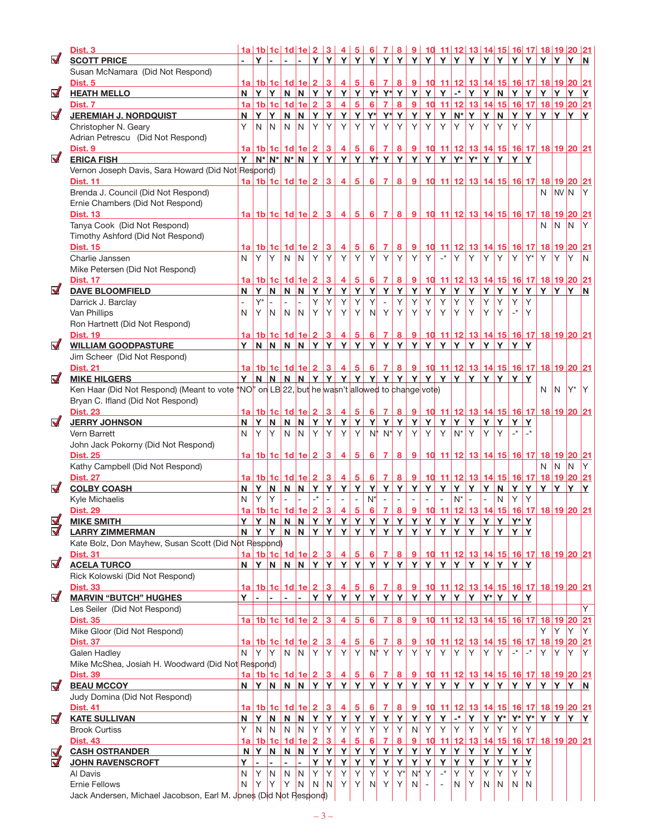|                                | Dist. <sub>3</sub>                                                                              |                |              |                 |                                         |                         |                 |                         |                                    |                                    |          |                     |                                                           | <u>1a   1b   1c   1d   1e   2   3   4   5   6   7   8   9   10   11   12   13   14   15   16   17   18   19   20   21</u> |             |                                                 |                      |                                        |              |               |                                     |                     |                       |                    |       |                         |
|--------------------------------|-------------------------------------------------------------------------------------------------|----------------|--------------|-----------------|-----------------------------------------|-------------------------|-----------------|-------------------------|------------------------------------|------------------------------------|----------|---------------------|-----------------------------------------------------------|---------------------------------------------------------------------------------------------------------------------------|-------------|-------------------------------------------------|----------------------|----------------------------------------|--------------|---------------|-------------------------------------|---------------------|-----------------------|--------------------|-------|-------------------------|
| $\blacktriangledown$           | <b>SCOTT PRICE</b>                                                                              | ä.             | Y            |                 | a.                                      |                         |                 |                         |                                    |                                    |          |                     |                                                           | <u>Y Y Y Y Y Y Y Y Y Y Y Y Y Y Y Y Y Y </u>                                                                               |             |                                                 |                      |                                        |              |               |                                     | Y                   | Y                     |                    | Y Y N |                         |
|                                | Susan McNamara (Did Not Respond)                                                                |                |              |                 |                                         |                         |                 |                         |                                    |                                    |          |                     |                                                           |                                                                                                                           |             |                                                 |                      |                                        |              |               |                                     |                     |                       |                    |       |                         |
|                                | Dist. 5                                                                                         |                |              |                 | 1a   1b   1c   1d   1e   2   3          |                         |                 |                         | $\overline{4}$                     | $5 \mid$                           | $6 \mid$ | 7 <sup>1</sup>      | 8 <sup>1</sup>                                            | 9                                                                                                                         |             | 10 11 12 13 14 15 16 17 18 19 20 21             |                      |                                        |              |               |                                     |                     |                       |                    |       |                         |
| $\triangledown$                | <b>HEATH MELLO</b>                                                                              |                | $N$ $Y$ $Y$  |                 |                                         | $N$ $N$                 |                 | YY                      |                                    |                                    |          |                     |                                                           | Y Y Y Y Y Y Y Y Y                                                                                                         |             |                                                 |                      | $\mathbf{r}$ $\mathbf{r}$ $\mathbf{r}$ |              | N             | Y                                   | Y                   | Y                     | Y Y                |       | Y                       |
|                                | Dist. 7                                                                                         |                |              |                 | 1a 1b 1c 1d 1e                          |                         | $\overline{2}$  | $\overline{3}$          | $\overline{4}$                     | 5 <sup>1</sup>                     |          | 6 7                 | 8 <sup>1</sup>                                            | 9 <sup>°</sup>                                                                                                            |             | 10 11 12 13 14 15 16 17 18 19 20 21             |                      |                                        |              |               |                                     |                     |                       |                    |       |                         |
| $\blacksquare$                 | <b>JEREMIAH J. NORDQUIST</b>                                                                    | N              | Y Y          |                 | N                                       | N.                      | Y               | Y                       | Y                                  | Y                                  |          |                     | $Y^*$ $Y^*$ $Y$                                           | Y                                                                                                                         | Y           | Y                                               | $N^*$ Y              |                                        | Y            | N             | Y                                   | Y                   | Y                     | Y Y                |       |                         |
|                                | Christopher N. Geary                                                                            | Y              | N            | $\overline{N}$  | N.                                      | IN.                     | Y               | Y                       | $\mathsf{Y}$                       | Y                                  | Y        | Y                   | Y                                                         | Y                                                                                                                         | Y           | Y                                               | Y                    | Y                                      | Υ            | Y             | Y                                   | Y                   |                       |                    |       |                         |
|                                | Adrian Petrescu (Did Not Respond)                                                               |                |              |                 |                                         |                         |                 |                         |                                    |                                    |          |                     |                                                           |                                                                                                                           |             |                                                 |                      |                                        |              |               |                                     |                     |                       |                    |       |                         |
|                                | Dist. 9                                                                                         |                |              |                 | $1a$ 1b 1c 1d 1e 2 3                    |                         |                 |                         |                                    |                                    |          |                     |                                                           | 4 5 6 7 8 9 10 11 12 13 14 15 16 17 18 19 20 21                                                                           |             |                                                 |                      |                                        |              |               |                                     |                     |                       |                    |       |                         |
| $\blacktriangledown$           | <b>ERICA FISH</b>                                                                               | Y              |              |                 | $N^*$ $N^*$ $N^*$ $N$                   |                         |                 | YY                      |                                    |                                    |          |                     |                                                           | Y Y Y Y Y Y Y                                                                                                             |             | $Y Y Y^* Y^* Y Y$                               |                      |                                        |              |               | Y                                   | Y                   |                       |                    |       |                         |
|                                | Vernon Joseph Davis, Sara Howard (Did Not Respond)                                              |                |              |                 |                                         |                         |                 |                         |                                    |                                    |          |                     |                                                           |                                                                                                                           |             |                                                 |                      |                                        |              |               |                                     |                     |                       |                    |       |                         |
|                                | <b>Dist. 11</b>                                                                                 |                |              |                 |                                         |                         |                 |                         | 1a   1b   1c   1d   1e   2   3   4 | $\sqrt{5}$                         |          | $6 \mid 7 \mid$     |                                                           | 8 9 10 11 12 13 14 15 16 17 18 19 20 21                                                                                   |             |                                                 |                      |                                        |              |               |                                     |                     |                       |                    |       |                         |
|                                | Brenda J. Council (Did Not Respond)                                                             |                |              |                 |                                         |                         |                 |                         |                                    |                                    |          |                     |                                                           |                                                                                                                           |             |                                                 |                      |                                        |              |               |                                     |                     | N                     | $NVI$ <sub>N</sub> |       | ΙY                      |
|                                | Ernie Chambers (Did Not Respond)                                                                |                |              |                 |                                         |                         |                 |                         |                                    |                                    |          |                     |                                                           |                                                                                                                           |             |                                                 |                      |                                        |              |               |                                     |                     |                       |                    |       |                         |
|                                | <b>Dist. 13</b>                                                                                 |                |              |                 |                                         |                         |                 |                         |                                    |                                    |          |                     |                                                           | <u>1a 1b 1c 1d 1e 2 3 4 5 6 7 8 9 10 11 12 13 14 15 16 17 18 19 20 21</u>                                                 |             |                                                 |                      |                                        |              |               |                                     |                     |                       |                    |       |                         |
|                                | Tanya Cook (Did Not Respond)                                                                    |                |              |                 |                                         |                         |                 |                         |                                    |                                    |          |                     |                                                           |                                                                                                                           |             |                                                 |                      |                                        |              |               |                                     |                     | N                     | N                  | IN    | Υ                       |
|                                | Timothy Ashford (Did Not Respond)                                                               |                |              |                 |                                         |                         |                 |                         |                                    |                                    |          |                     |                                                           |                                                                                                                           |             |                                                 |                      |                                        |              |               |                                     |                     |                       |                    |       |                         |
|                                | <b>Dist. 15</b>                                                                                 |                |              |                 | <u>1a 1b 1c 1d 1e 2  </u>               |                         |                 | $\overline{\mathbf{3}}$ | $\overline{4}$                     | $\overline{5}$                     | 6        | $\overline{7}$      | 8                                                         | 9                                                                                                                         |             | 10 11 12 13 14 15 16 17                         |                      |                                        |              |               |                                     |                     | 18 19 20 21           |                    |       |                         |
|                                | Charlie Janssen                                                                                 | N              | Y            | İΥ.             | $N$ $N$                                 |                         | Y               | Y                       | Y                                  | Y                                  | Y        | Y                   | Y                                                         | Y                                                                                                                         | Y           | $\overline{\phantom{a}}^*$                      | Y                    | Y                                      | Y            | Y             | Y.                                  | $Y^*$               | Y                     | Y                  | İΥ    | N.                      |
|                                | Mike Petersen (Did Not Respond)                                                                 |                |              |                 |                                         |                         |                 |                         |                                    |                                    |          |                     |                                                           |                                                                                                                           |             |                                                 |                      |                                        |              |               |                                     |                     |                       |                    |       |                         |
|                                | <b>Dist. 17</b>                                                                                 |                |              |                 | <u>1a   1b   1c   1d   1e   2   3  </u> |                         |                 |                         | $\overline{4}$                     | $\sqrt{5}$                         |          |                     | $6 \mid 7 \mid 8 \mid 9$                                  |                                                                                                                           |             | <u>10 11 12 13 14 15 16 17 18 19 20 21</u>      |                      |                                        |              |               |                                     |                     |                       |                    |       |                         |
| $\blacktriangledown$           | <b>DAVE BLOOMFIELD</b>                                                                          | N              | Y            | N.              | $N$ $N$                                 |                         | Y               | $\overline{Y}$          | Y                                  | Y                                  | Y        | Y                   | Y                                                         | Y                                                                                                                         | Y           | Y                                               | Y                    | Y                                      | $\mathbf Y$  | Y             | Y                                   | Y                   | Y                     | Y Y                |       | $\overline{\mathsf{N}}$ |
|                                | Darrick J. Barclay                                                                              |                | $Y^*$        | $\overline{a}$  | $\mathbf{r}$                            | $\mathbf{r}$            | Y               | Y                       | Y                                  | Y                                  | Y        | $\mathcal{L}$       | Y                                                         | Y                                                                                                                         | Y           | Y                                               | Y                    | Y                                      | Υ            | Υ             | Υ                                   | Y                   |                       |                    |       |                         |
|                                | Van Phillips                                                                                    | N              | Υ            | N.              | N.                                      | IN.                     | Y               | Y                       | Y                                  | Y                                  | N        | Y                   | Y                                                         | Y                                                                                                                         | Y           | Y                                               | Y                    | Y                                      | Υ            | Y             | $\mathbin{{\rightharpoonup}}^\star$ | Y                   |                       |                    |       |                         |
|                                | Ron Hartnett (Did Not Respond)                                                                  |                |              |                 |                                         |                         |                 |                         |                                    |                                    |          |                     |                                                           |                                                                                                                           |             |                                                 |                      |                                        |              |               |                                     |                     |                       |                    |       |                         |
|                                | <b>Dist. 19</b>                                                                                 |                |              |                 | $1a$ 1b 1c 1d 1e 2 3                    |                         |                 |                         | $\overline{4}$                     | 5                                  | 6        | 7 <sup>1</sup>      | $\mathbf{8}$                                              | $\overline{9}$                                                                                                            |             | <u>10 11 12 13 14 15 16 17 18 19 20 21</u>      |                      |                                        |              |               |                                     |                     |                       |                    |       |                         |
| $\blacktriangledown$           | <b>WILLIAM GOODPASTURE</b>                                                                      |                |              | YNN             |                                         |                         |                 |                         | NNYYYY                             |                                    |          |                     |                                                           | Y Y Y Y Y Y Y Y Y Y Y                                                                                                     |             |                                                 |                      |                                        |              |               | Y Y                                 |                     |                       |                    |       |                         |
|                                | Jim Scheer (Did Not Respond)                                                                    |                |              |                 |                                         |                         |                 |                         |                                    |                                    |          |                     |                                                           |                                                                                                                           |             |                                                 |                      |                                        |              |               |                                     |                     |                       |                    |       |                         |
|                                | <b>Dist. 21</b>                                                                                 |                |              |                 | <u>1a   1b   1c   1d   1e   2   3  </u> |                         |                 |                         | $\vert 4 \vert$                    | 5 <sup>1</sup>                     |          |                     |                                                           | 6 7 8 9 10 11 12 13 14 15 16 17 18 19 20 21                                                                               |             |                                                 |                      |                                        |              |               |                                     |                     |                       |                    |       |                         |
| $\blacktriangledown$           | <b>MIKE HILGERS</b>                                                                             |                |              |                 |                                         |                         |                 |                         |                                    |                                    |          |                     |                                                           |                                                                                                                           |             |                                                 |                      |                                        |              |               |                                     | Y                   |                       |                    |       |                         |
|                                | Ken Haar (Did Not Respond) (Meant to vote 'NO'' on LB 22, but he wasn't allowed to change vote) |                |              |                 |                                         |                         |                 |                         |                                    |                                    |          |                     |                                                           |                                                                                                                           |             |                                                 |                      |                                        |              |               |                                     |                     | N                     | $N'Y^*$            |       | İΥ                      |
|                                | Bryan C. Ifland (Did Not Respond)                                                               |                |              |                 |                                         |                         |                 |                         |                                    |                                    |          |                     |                                                           |                                                                                                                           |             |                                                 |                      |                                        |              |               |                                     |                     |                       |                    |       |                         |
| $\blacktriangledown$           | <b>Dist. 23</b>                                                                                 | N              |              |                 | $1a$ 1b 1c 1d 1e 2 3                    | N <sub></sub>           |                 | Y                       | $\overline{4}$<br>Y                | $\overline{5}$<br> Y               | $6 \mid$ | 7 <sup>1</sup>      | 8<br>YYY                                                  | 9<br>Y                                                                                                                    | YY          | 10 11 12 13 14 15 16 17 18 19 20 21             | Y                    | Y                                      | $\mathbf{Y}$ | Y             | Y                                   |                     |                       |                    |       |                         |
|                                | <b>JERRY JOHNSON</b>                                                                            |                | Y N<br>N Y Y |                 | $\mathsf{N}$                            | $N$ $N$                 | <u>Y  </u><br>Y | Y                       | Y                                  | Y                                  |          | $N^* N^* Y$         |                                                           | Y                                                                                                                         | Y           | Y                                               | $N^*$                | Y                                      | Y            | Y             | $\cdot^*$                           | Y<br>$\mathbf{r}^*$ |                       |                    |       |                         |
|                                | Vern Barrett<br>John Jack Pokorny (Did Not Respond)                                             |                |              |                 |                                         |                         |                 |                         |                                    |                                    |          |                     |                                                           |                                                                                                                           |             |                                                 |                      |                                        |              |               |                                     |                     |                       |                    |       |                         |
|                                | <b>Dist. 25</b>                                                                                 |                |              |                 |                                         |                         |                 |                         | $1a$ 1b 1c 1d 1e 2 3 4             | $5 \vert$                          | 6        |                     | $\begin{array}{c c c c c c} \hline 7 & 8 & 9 \end{array}$ |                                                                                                                           |             | <u>10 11 12 13 14 15 16 17 18 19 20 21</u>      |                      |                                        |              |               |                                     |                     |                       |                    |       |                         |
|                                | Kathy Campbell (Did Not Respond)                                                                |                |              |                 |                                         |                         |                 |                         |                                    |                                    |          |                     |                                                           |                                                                                                                           |             |                                                 |                      |                                        |              |               |                                     |                     | N                     | N                  | IN.   | Υ                       |
|                                | <b>Dist. 27</b>                                                                                 |                |              |                 | <u>1a 1b 1c 1d 1e 2 3</u>               |                         |                 |                         | $\overline{4}$                     | 5                                  | 6        | $\overline{7}$      | 8 <sup>1</sup>                                            |                                                                                                                           |             | <u>9 10 11 12 13 14 15 16 17 18 19 20 21</u>    |                      |                                        |              |               |                                     |                     |                       |                    |       |                         |
| $\blacktriangledown$           | <b>COLBY COASH</b>                                                                              | N              | ΙY.          | $\vert N \vert$ | N                                       | N.                      | Y               | Y                       | Y                                  | Y                                  |          |                     | Y Y Y Y                                                   |                                                                                                                           | Y           | Y                                               | Y                    | Y                                      | Y            | N <sub></sub> | Y                                   | Y                   | Y                     |                    | Y Y Y |                         |
|                                | Kyle Michaelis                                                                                  | N              | Y            | Y               |                                         |                         | $\mathbf{r}^*$  |                         |                                    |                                    | $N^*$    |                     |                                                           |                                                                                                                           |             |                                                 | $N^*$                |                                        |              | N             | Y                                   | Y                   |                       |                    |       |                         |
|                                | <b>Dist. 29</b>                                                                                 |                |              |                 |                                         |                         |                 |                         |                                    |                                    |          |                     |                                                           |                                                                                                                           |             |                                                 |                      |                                        |              |               |                                     |                     |                       |                    |       |                         |
| $\overline{\phantom{a}}$<br>M, | <b>MIKE SMITH</b>                                                                               |                |              |                 |                                         |                         |                 |                         |                                    |                                    |          |                     |                                                           |                                                                                                                           |             |                                                 |                      |                                        |              |               |                                     |                     |                       |                    |       |                         |
| $\overline{\mathbf{v}}$        | <b>LARRY ZIMMERMAN</b>                                                                          | N              | Y            | Y               |                                         | $N$ $N$                 |                 |                         | Y Y Y Y Y Y Y Y                    |                                    |          |                     |                                                           |                                                                                                                           |             | YYY                                             |                      | Y                                      | YY           |               | Y                                   | Y                   |                       |                    |       |                         |
|                                | Kate Bolz, Don Mayhew, Susan Scott (Did Not Respond)                                            |                |              |                 |                                         |                         |                 |                         |                                    |                                    |          |                     |                                                           |                                                                                                                           |             |                                                 |                      |                                        |              |               |                                     |                     |                       |                    |       |                         |
|                                | <b>Dist. 31</b>                                                                                 |                |              |                 | <u>1a 1b 1c 1d 1e 2 3</u>               |                         |                 |                         | $\overline{4}$                     | $\vert 5 \vert$                    |          | $6 \mid 7 \mid$     | 8 <sup>1</sup>                                            |                                                                                                                           |             | 9 10 11 12 13 14 15 16 17 18 19 20 21           |                      |                                        |              |               |                                     |                     |                       |                    |       |                         |
| $\blacktriangledown$           | <b>ACELA TURCO</b>                                                                              |                |              |                 | N Y N N N Y Y                           |                         |                 |                         |                                    |                                    |          |                     |                                                           | <u>Y Y Y Y Y Y Y Y Y Y Y Y Y Y Y Y Y</u>                                                                                  |             |                                                 |                      |                                        |              |               |                                     |                     |                       |                    |       |                         |
|                                | Rick Kolowski (Did Not Respond)                                                                 |                |              |                 |                                         |                         |                 |                         |                                    |                                    |          |                     |                                                           |                                                                                                                           |             |                                                 |                      |                                        |              |               |                                     |                     |                       |                    |       |                         |
|                                | <b>Dist. 33</b>                                                                                 |                |              |                 | <u>1a 1b 1c 1d 1e 2 3</u>               |                         |                 |                         | $\overline{4}$                     |                                    |          |                     |                                                           |                                                                                                                           |             |                                                 |                      |                                        |              |               |                                     |                     |                       |                    |       |                         |
| $\blacktriangledown$           | <b>MARVIN "BUTCH" HUGHES</b>                                                                    | Y <sub>1</sub> | $\sim$       |                 |                                         |                         | Y               | Y                       |                                    |                                    |          |                     |                                                           | <u>Y Y Y Y Y Y Y Y Y Y Y Y Y</u>                                                                                          |             |                                                 |                      |                                        |              |               | Y                                   | Y                   |                       |                    |       |                         |
|                                | Les Seiler (Did Not Respond)                                                                    |                |              |                 |                                         |                         |                 |                         |                                    |                                    |          |                     |                                                           |                                                                                                                           |             |                                                 |                      |                                        |              |               |                                     |                     |                       |                    |       |                         |
|                                | <b>Dist. 35</b>                                                                                 |                |              |                 |                                         |                         |                 |                         | $\overline{4}$                     | $5\overline{)}$                    |          | 6 7                 | 8 <sup>1</sup>                                            | 9                                                                                                                         |             | 10 11 12 13 14 15 16 17 18 19 20 21             |                      |                                        |              |               |                                     |                     |                       |                    |       |                         |
|                                | Mike Gloor (Did Not Respond)                                                                    |                |              |                 |                                         |                         |                 |                         |                                    |                                    |          |                     |                                                           |                                                                                                                           |             |                                                 |                      |                                        |              |               |                                     |                     | Υ                     | Y                  | İΥ    | Y                       |
|                                | <b>Dist. 37</b>                                                                                 |                |              |                 | <u>1a 1b 1c 1d 1e 2  </u>               |                         |                 | $\overline{\mathbf{3}}$ | $\overline{4}$                     | 5                                  | 6        | 7 <sup>1</sup>      | 8                                                         | 9                                                                                                                         |             | 10 11 12 13 14 15 16 17 18 19 20 21             |                      |                                        |              |               |                                     |                     |                       |                    |       |                         |
|                                | <b>Galen Hadley</b>                                                                             | N              | Y            | IY.             | N.                                      | IN.                     | Y               | Y                       | Y                                  | Y                                  |          | $N^*$ Y             | Y                                                         | Y                                                                                                                         | Y           | Y                                               | Y                    | Y                                      | Y            | Y             |                                     | $-*$                | Y                     | Y Y                |       | IY.                     |
|                                | Mike McShea, Josiah H. Woodward (Did Not Respond)                                               |                |              |                 |                                         |                         |                 |                         |                                    |                                    |          |                     |                                                           |                                                                                                                           |             |                                                 |                      |                                        |              |               |                                     |                     |                       |                    |       |                         |
|                                | <b>Dist. 39</b>                                                                                 |                |              |                 | <u>1a 1b 1c 1d 1e 2 3</u>               |                         |                 |                         | $\vert 4 \vert$                    | $5 \vert$                          |          | $6 \mid 7 \mid$     |                                                           | <u>8 9 10 11 12 13 14 15 16 17 18 19 20 21</u>                                                                            |             |                                                 |                      |                                        |              |               |                                     |                     |                       |                    |       |                         |
| $\blacktriangledown$           | <b>BEAU MCCOY</b>                                                                               |                |              |                 |                                         |                         |                 |                         |                                    |                                    |          |                     |                                                           |                                                                                                                           |             |                                                 |                      |                                        |              |               |                                     |                     |                       |                    |       |                         |
|                                | Judy Domina (Did Not Respond)                                                                   |                |              |                 |                                         |                         |                 |                         |                                    |                                    |          |                     |                                                           |                                                                                                                           |             |                                                 |                      |                                        |              |               |                                     |                     |                       |                    |       |                         |
|                                | <b>Dist. 41</b>                                                                                 |                |              |                 | $1a$ 1b 1c 1d 1e 2                      |                         |                 | $\overline{\mathbf{3}}$ | $\overline{4}$                     | 5 <sup>5</sup>                     | $6 \mid$ | $\overline{7}$      | 8                                                         | 9                                                                                                                         |             | <u>10 11 12 13 14 15 16 17 18 19 20 21</u>      | $\mathbf{-}^{\star}$ |                                        |              |               |                                     |                     |                       |                    |       |                         |
| $\triangledown$                | <b>KATE SULLIVAN</b>                                                                            | N              | Y            | N <sub>.</sub>  | N                                       | $\overline{\mathsf{N}}$ | Y               | Y                       | $\mathbf{Y}$                       | $\mathbf{Y}$                       |          | $Y$ $Y$             | Y                                                         | Y                                                                                                                         | Y           | Y                                               |                      | Y                                      | Y            |               |                                     |                     | $Y^*$ $Y^*$ $Y^*$ $Y$ | Y Y                |       | Y                       |
|                                | <b>Brook Curtiss</b><br><b>Dist. 43</b>                                                         | Υ              | N            | IN.             | N<br><u>1a 1b 1c 1d 1e 2</u>            | IN.                     | Y               | Υ                       | Y                                  | Y                                  | Y        | Y<br>$\overline{7}$ | Y<br>8                                                    | $\mathsf{N}$                                                                                                              | Y           | Y<br><u>10 11 12 13 14 15 16 17 18 19 20 21</u> | Y                    | Y                                      | Υ            | Υ             | Y                                   | Υ                   |                       |                    |       |                         |
|                                | <b>CASH OSTRANDER</b>                                                                           |                | NY N         |                 | $N$ $N$                                 |                         | YY              | $\overline{\mathbf{3}}$ | 4                                  | $\overline{\mathbf{5}}$<br>$Y$ $Y$ | 6        |                     | YYY                                                       | 9                                                                                                                         |             | YYY                                             | Y                    | Y                                      | $\mathbf{Y}$ | Y             | Y                                   | Y                   |                       |                    |       |                         |
| $\mathbf{M}$<br>$\nabla$       | <b>JOHN RAVENSCROFT</b>                                                                         | Y              | ä,           | ä,              | $\mathbf{r}$                            | ä,                      | Y               | $\mathbf Y$             | Y                                  | Y                                  | Y        | Y                   | Y                                                         | $\mathbf{Y}$                                                                                                              | $\mathbf Y$ | Y                                               | Y                    | $\mathsf{Y}$                           | $\mathsf{Y}$ | $\mathbf{Y}$  | Y                                   | Y                   |                       |                    |       |                         |
|                                | Al Davis                                                                                        | Ν              | İΥ.          | N               | $\mathsf{N}$                            | $\overline{N}$          | Y               | Υ                       | Υ                                  | Y                                  | Y        | Y                   | $Y^*$                                                     | $N*$                                                                                                                      | Y           | $\overline{\phantom{a}}^{\,*}$                  | Y                    | Y                                      | Υ            | Υ             | Y                                   | Υ                   |                       |                    |       |                         |
|                                | Ernie Fellows                                                                                   | N              | Υ            | Υ               | Υ                                       | N                       | N               | N                       | Υ                                  | Y                                  | N        | Y                   | Y                                                         | N                                                                                                                         |             |                                                 | N                    | Y                                      | N            | N             | N                                   | N                   |                       |                    |       |                         |
|                                | Jack Andersen, Michael Jacobson, Earl M. Jones (Did Not Respond)                                |                |              |                 |                                         |                         |                 |                         |                                    |                                    |          |                     |                                                           |                                                                                                                           |             |                                                 |                      |                                        |              |               |                                     |                     |                       |                    |       |                         |